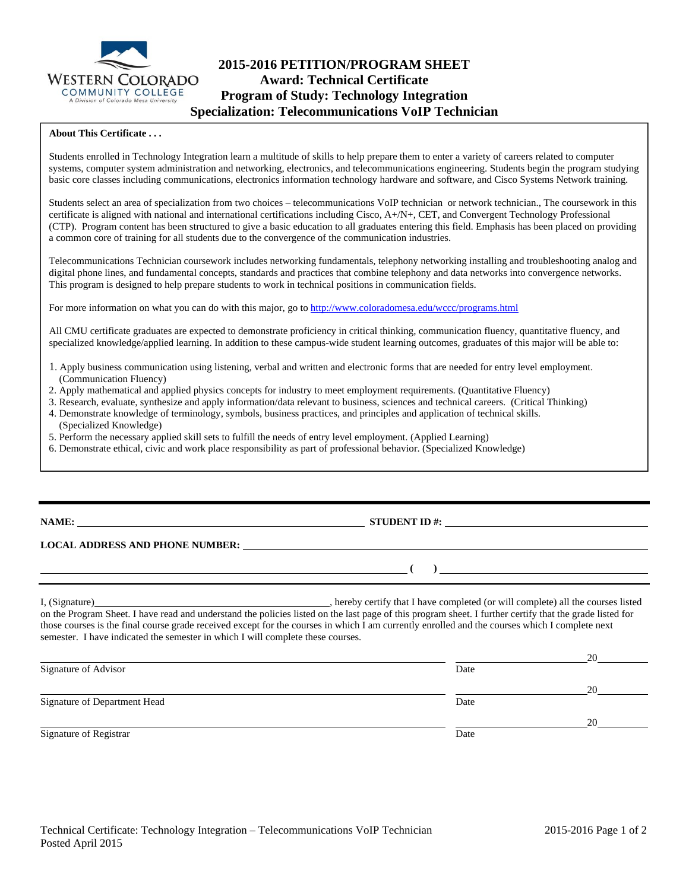

# **2015-2016 PETITION/PROGRAM SHEET Award: Technical Certificate Program of Study: Technology Integration Specialization: Telecommunications VoIP Technician**

#### **About This Certificate . . .**

Students enrolled in Technology Integration learn a multitude of skills to help prepare them to enter a variety of careers related to computer systems, computer system administration and networking, electronics, and telecommunications engineering. Students begin the program studying basic core classes including communications, electronics information technology hardware and software, and Cisco Systems Network training.

Students select an area of specialization from two choices – telecommunications VoIP technician or network technician., The coursework in this certificate is aligned with national and international certifications including Cisco, A+/N+, CET, and Convergent Technology Professional (CTP). Program content has been structured to give a basic education to all graduates entering this field. Emphasis has been placed on providing a common core of training for all students due to the convergence of the communication industries.

Telecommunications Technician coursework includes networking fundamentals, telephony networking installing and troubleshooting analog and digital phone lines, and fundamental concepts, standards and practices that combine telephony and data networks into convergence networks. This program is designed to help prepare students to work in technical positions in communication fields.

For more information on what you can do with this major, go to http://www.coloradomesa.edu/wccc/programs.html

All CMU certificate graduates are expected to demonstrate proficiency in critical thinking, communication fluency, quantitative fluency, and specialized knowledge/applied learning. In addition to these campus-wide student learning outcomes, graduates of this major will be able to:

- 1. Apply business communication using listening, verbal and written and electronic forms that are needed for entry level employment. (Communication Fluency)
- 2. Apply mathematical and applied physics concepts for industry to meet employment requirements. (Quantitative Fluency)
- 3. Research, evaluate, synthesize and apply information/data relevant to business, sciences and technical careers. (Critical Thinking)
- 4. Demonstrate knowledge of terminology, symbols, business practices, and principles and application of technical skills. (Specialized Knowledge)
- 5. Perform the necessary applied skill sets to fulfill the needs of entry level employment. (Applied Learning)
- 6. Demonstrate ethical, civic and work place responsibility as part of professional behavior. (Specialized Knowledge)

**NAME: STUDENT ID #:**

 **( )** 

## **LOCAL ADDRESS AND PHONE NUMBER:**

I, (Signature) , hereby certify that I have completed (or will complete) all the courses listed on the Program Sheet. I have read and understand the policies listed on the last page of this program sheet. I further certify that the grade listed for those courses is the final course grade received except for the courses in which I am currently enrolled and the courses which I complete next semester. I have indicated the semester in which I will complete these courses.

|                              |      | 20 |
|------------------------------|------|----|
| Signature of Advisor         | Date |    |
|                              |      | 20 |
| Signature of Department Head | Date |    |
|                              |      | 20 |
| Signature of Registrar       | Date |    |